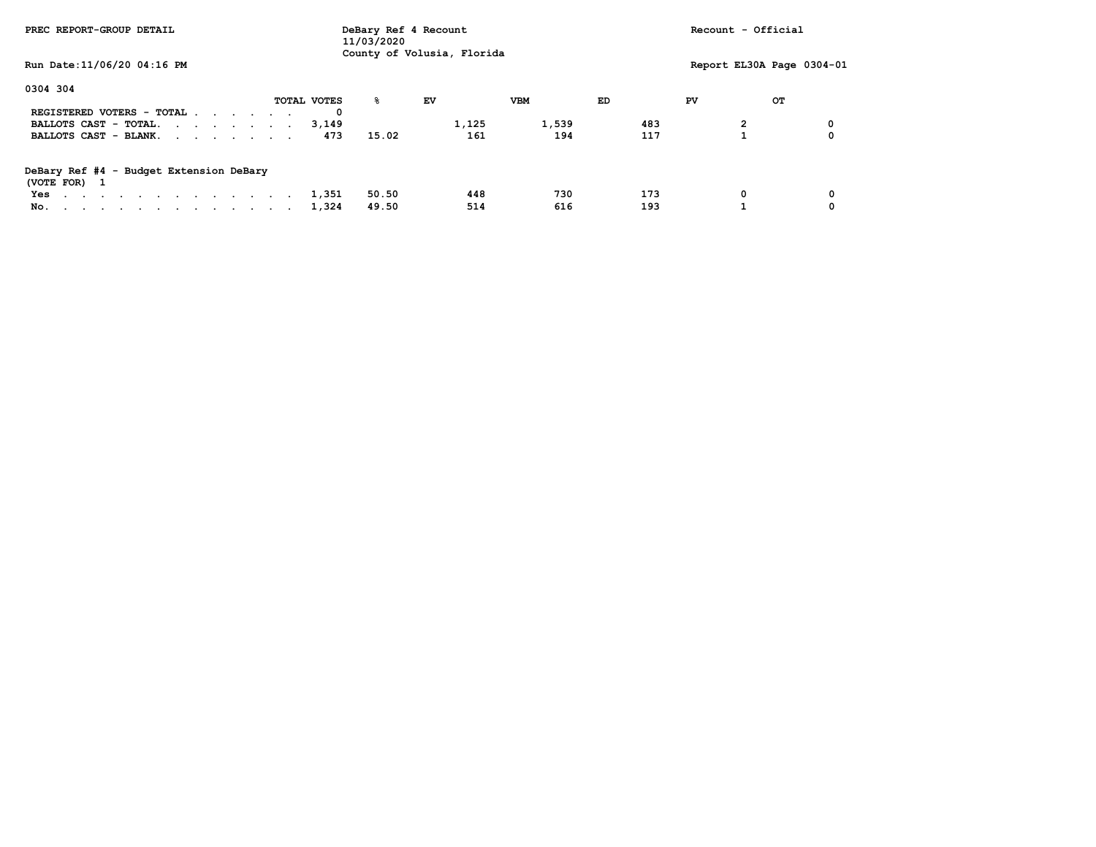| PREC REPORT-GROUP DETAIL                                | DeBary Ref 4 Recount<br>11/03/2020<br>County of Volusia, Florida |       |       |            |     |    | Recount - Official        |
|---------------------------------------------------------|------------------------------------------------------------------|-------|-------|------------|-----|----|---------------------------|
| Run Date: 11/06/20 04:16 PM                             |                                                                  |       |       |            |     |    | Report EL30A Page 0304-01 |
| 0304 304                                                |                                                                  |       |       |            |     |    |                           |
|                                                         | TOTAL VOTES                                                      | ዱ     | EV    | <b>VBM</b> | ED  | PV | OТ                        |
| REGISTERED VOTERS - TOTAL                               | 0                                                                |       |       |            |     |    |                           |
| BALLOTS CAST - TOTAL.                                   | 3,149                                                            |       | 1,125 | 1,539      | 483 |    | 0                         |
| BALLOTS CAST - BLANK.                                   | 473                                                              | 15.02 | 161   | 194        | 117 |    | $\Omega$                  |
| DeBary Ref #4 - Budget Extension DeBary<br>(VOTE FOR) 1 |                                                                  |       |       |            |     |    |                           |
| Yes                                                     | 1,351                                                            | 50.50 | 448   | 730        | 173 |    | 0                         |
| No.                                                     | 1,324                                                            | 49.50 | 514   | 616        | 193 |    | 0                         |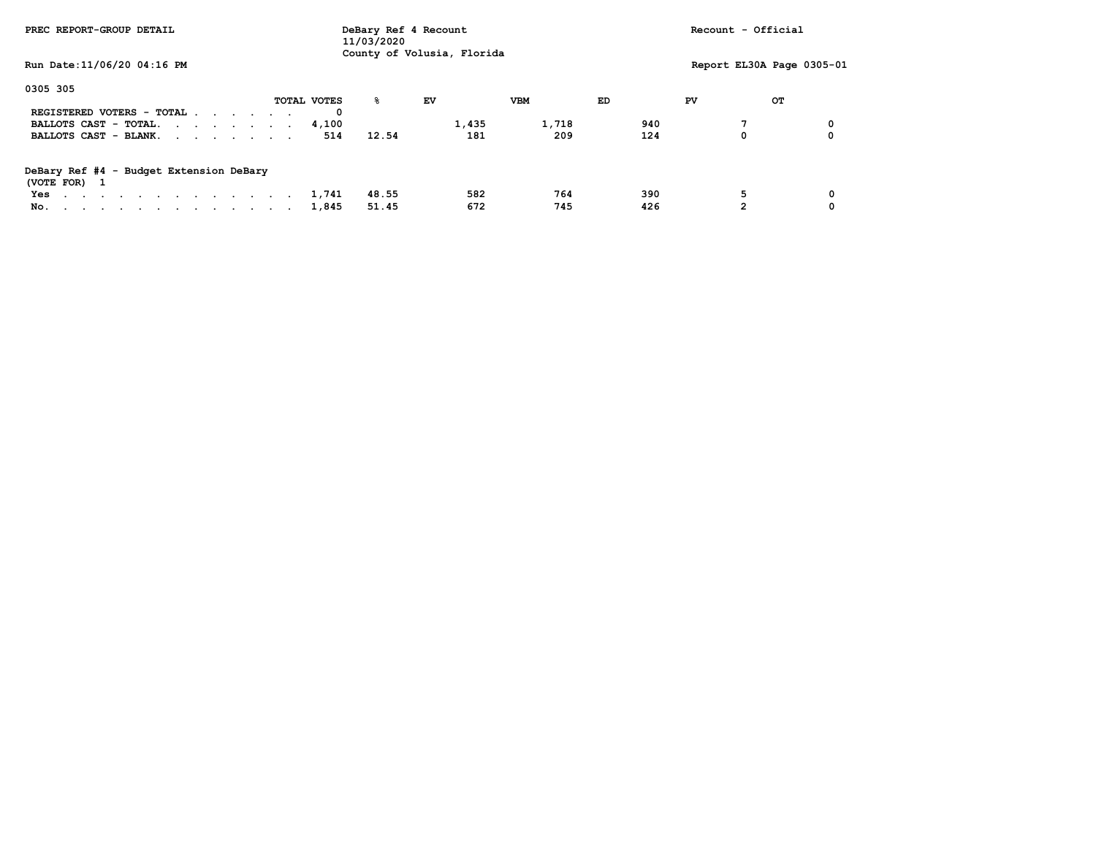| PREC REPORT-GROUP DETAIL                                |             | DeBary Ref 4 Recount<br>11/03/2020 |                            |            |     | Recount - Official |                           |
|---------------------------------------------------------|-------------|------------------------------------|----------------------------|------------|-----|--------------------|---------------------------|
| Run Date: 11/06/20 04:16 PM                             |             |                                    | County of Volusia, Florida |            |     |                    | Report EL30A Page 0305-01 |
| 0305 305                                                |             |                                    |                            |            |     |                    |                           |
|                                                         | TOTAL VOTES | ዱ                                  | EV                         | <b>VBM</b> | ED  | PV                 | OТ                        |
| REGISTERED VOTERS - TOTAL                               | 0           |                                    |                            |            |     |                    |                           |
| BALLOTS CAST - TOTAL.                                   | 4,100       |                                    | 1,435                      | 1,718      | 940 |                    | 0                         |
| BALLOTS CAST - BLANK.                                   | 514         | 12.54                              | 181                        | 209        | 124 | 0                  | 0                         |
| DeBary Ref #4 - Budget Extension DeBary<br>(VOTE FOR) 1 |             |                                    |                            |            |     |                    |                           |
| Yes                                                     | 1,741       | 48.55                              | 582                        | 764        | 390 | 5                  | 0                         |
| No.                                                     | 1,845       | 51.45                              | 672                        | 745        | 426 | 2                  | 0                         |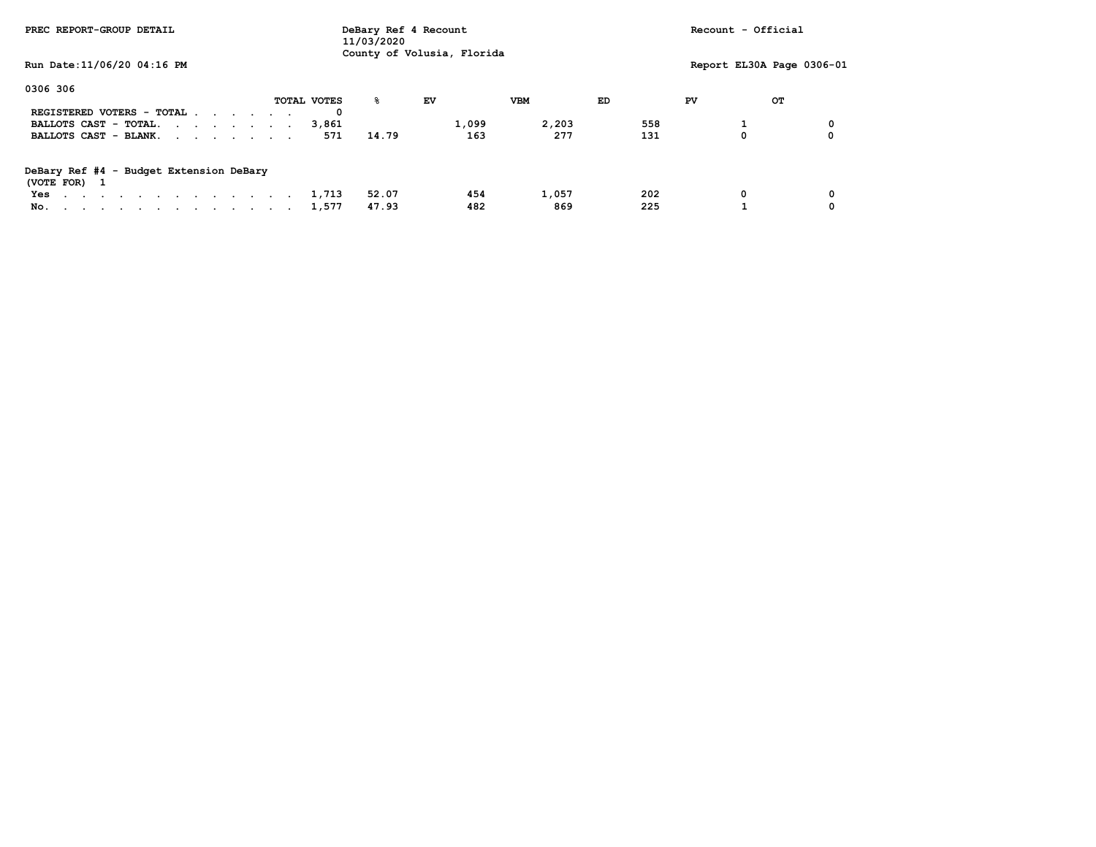| PREC REPORT-GROUP DETAIL                | DeBary Ref 4 Recount<br>11/03/2020 |              |                            |            |     | Recount - Official |                           |  |
|-----------------------------------------|------------------------------------|--------------|----------------------------|------------|-----|--------------------|---------------------------|--|
| Run Date: 11/06/20 04:16 PM             |                                    |              | County of Volusia, Florida |            |     |                    | Report EL30A Page 0306-01 |  |
| 0306 306                                |                                    |              |                            |            |     |                    |                           |  |
|                                         | TOTAL VOTES                        | ዱ            | <b>EV</b>                  | <b>VBM</b> | ED  | PV                 | OТ                        |  |
| REGISTERED VOTERS - TOTAL               |                                    | 0            |                            |            |     |                    |                           |  |
| BALLOTS CAST - TOTAL.                   | 3,861                              |              | 1,099                      | 2,203      | 558 |                    |                           |  |
| BALLOTS CAST - BLANK.                   |                                    | 14.79<br>571 | 163                        | 277        | 131 |                    | 0                         |  |
| DeBary Ref #4 - Budget Extension DeBary |                                    |              |                            |            |     |                    |                           |  |
| (VOTE FOR) 1                            |                                    |              |                            |            |     |                    |                           |  |
| Yes                                     | 1,713                              | 52.07        | 454                        | 1,057      | 202 |                    | 0                         |  |
| No.                                     | 1,577                              | 47.93        | 482                        | 869        | 225 |                    | 0                         |  |